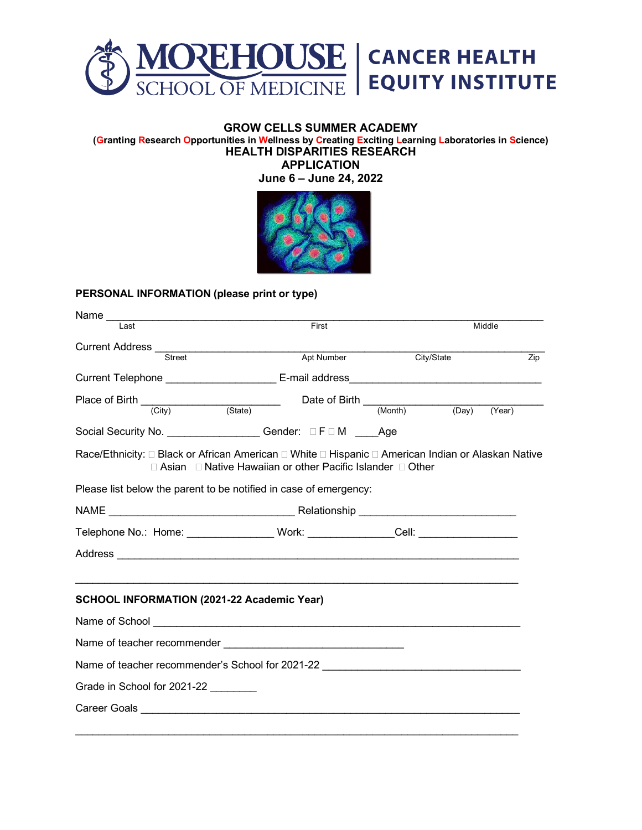

## **GROW CELLS SUMMER ACADEMY**

**(Granting Research Opportunities in Wellness by Creating Exciting Learning Laboratories in Science) HEALTH DISPARITIES RESEARCH**

**APPLICATION June 6 – June 24, 2022**



## **PERSONAL INFORMATION (please print or type)**

| Name $\_\_\_\_\$<br>Last                                                                           | First                                                                      |            | Middle |     |
|----------------------------------------------------------------------------------------------------|----------------------------------------------------------------------------|------------|--------|-----|
|                                                                                                    |                                                                            |            |        |     |
| Street                                                                                             | Apt Number                                                                 | City/State |        | Zip |
|                                                                                                    |                                                                            |            |        |     |
| Place of Birth $\frac{City}{City}$ (State) Date of Birth $\frac{City}{C}$ (Nonth) (Day) (Year)     |                                                                            |            |        |     |
|                                                                                                    |                                                                            |            |        |     |
| Social Security No. _________________ Gender: □ F □ M ____Age                                      |                                                                            |            |        |     |
| Race/Ethnicity: □ Black or African American □ White □ Hispanic □ American Indian or Alaskan Native | $\Box$ Asian $\Box$ Native Hawaiian or other Pacific Islander $\Box$ Other |            |        |     |
| Please list below the parent to be notified in case of emergency:                                  |                                                                            |            |        |     |
|                                                                                                    |                                                                            |            |        |     |
| Telephone No.: Home: __________________Work: _______________Cell: ______________                   |                                                                            |            |        |     |
|                                                                                                    |                                                                            |            |        |     |
|                                                                                                    |                                                                            |            |        |     |
| <b>SCHOOL INFORMATION (2021-22 Academic Year)</b>                                                  |                                                                            |            |        |     |
|                                                                                                    |                                                                            |            |        |     |
|                                                                                                    |                                                                            |            |        |     |
| Name of teacher recommender's School for 2021-22 _______________________________                   |                                                                            |            |        |     |
| Grade in School for 2021-22                                                                        |                                                                            |            |        |     |
|                                                                                                    |                                                                            |            |        |     |
|                                                                                                    |                                                                            |            |        |     |